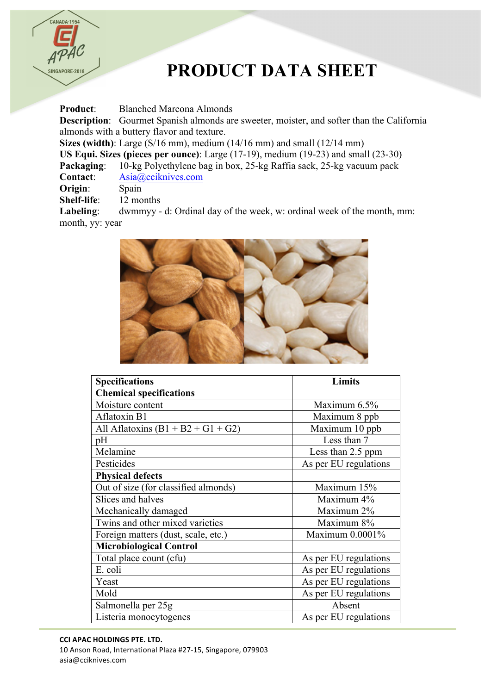

## **PRODUCT DATA SHEET**

**Product**: Blanched Marcona Almonds **Description**: Gourmet Spanish almonds are sweeter, moister, and softer than the California almonds with a buttery flavor and texture. **Sizes (width)**: Large (S/16 mm), medium (14/16 mm) and small (12/14 mm) **US Equi. Sizes (pieces per ounce)**: Large (17-19), medium (19-23) and small (23-30) **Packaging**: 10-kg Polyethylene bag in box, 25-kg Raffia sack, 25-kg vacuum pack **Contact**: Asia@cciknives.com **Origin**: Spain **Shelf-life**: 12 months

**Labeling**: dwmmyy - d: Ordinal day of the week, w: ordinal week of the month, mm: month, yy: year



| <b>Specifications</b>                | <b>Limits</b>         |
|--------------------------------------|-----------------------|
| <b>Chemical specifications</b>       |                       |
| Moisture content                     | Maximum 6.5%          |
| Aflatoxin B1                         | Maximum 8 ppb         |
| All Aflatoxins $(B1 + B2 + G1 + G2)$ | Maximum 10 ppb        |
| pH                                   | Less than 7           |
| Melamine                             | Less than 2.5 ppm     |
| Pesticides                           | As per EU regulations |
| <b>Physical defects</b>              |                       |
| Out of size (for classified almonds) | Maximum 15%           |
| Slices and halves                    | Maximum 4%            |
| Mechanically damaged                 | Maximum 2%            |
| Twins and other mixed varieties      | Maximum 8%            |
| Foreign matters (dust, scale, etc.)  | Maximum 0.0001%       |
| <b>Microbiological Control</b>       |                       |
| Total place count (cfu)              | As per EU regulations |
| E. coli                              | As per EU regulations |
| Yeast                                | As per EU regulations |
| Mold                                 | As per EU regulations |
| Salmonella per 25g                   | Absent                |
| Listeria monocytogenes               | As per EU regulations |